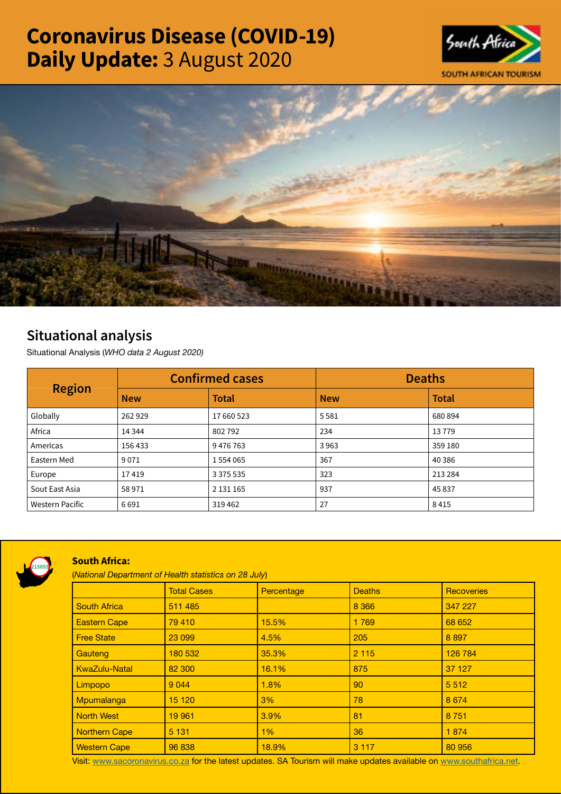# Coronavirus Disease (COVID-19) Daily Update: 3 August 2020





## Situational analysis

Situational Analysis (*WHO data 2 August 2020)*

| <b>Region</b>          | <b>Confirmed cases</b> |               | <b>Deaths</b> |              |
|------------------------|------------------------|---------------|---------------|--------------|
|                        | <b>New</b>             | <b>Total</b>  | <b>New</b>    | <b>Total</b> |
| Globally               | 262929                 | 17 660 523    | 5581          | 680 894      |
| Africa                 | 14 3 44                | 802792        | 234           | 13779        |
| Americas               | 156 433                | 9476763       | 3963          | 359 180      |
| Eastern Med            | 9071                   | 1 554 065     | 367           | 40 386       |
| Europe                 | 17419                  | 3 3 7 5 5 3 5 | 323           | 213 284      |
| Sout East Asia         | 58971                  | 2 131 165     | 937           | 45837        |
| <b>Western Pacific</b> | 6691                   | 319462        | 27            | 8415         |



### South Africa:

(*National Department of Health statistics on 28 July*)

|                      | <b>Total Cases</b> | Percentage | <b>Deaths</b> | <b>Recoveries</b> |
|----------------------|--------------------|------------|---------------|-------------------|
| <b>South Africa</b>  | 511 485            |            | 8 3 6 6       | 347 227           |
| <b>Eastern Cape</b>  | 79 410             | 15.5%      | 1769          | 68 652            |
| <b>Free State</b>    | 23 099             | 4.5%       | 205           | 8897              |
| Gauteng              | 180 532            | 35.3%      | 2 1 1 5       | 126 784           |
| <b>KwaZulu-Natal</b> | 82 300             | 16.1%      | 875           | 37 127            |
| Limpopo              | 9 0 4 4            | 1.8%       | 90            | 5 5 1 2           |
| Mpumalanga           | 15 120             | 3%         | 78            | 8674              |
| <b>North West</b>    | 19 961             | 3.9%       | 81            | 8 7 5 1           |
| <b>Northern Cape</b> | 5 1 3 1            | 1%         | 36            | 1874              |
| <b>Western Cape</b>  | 96 838             | 18.9%      | 3 1 1 7       | 80 956            |

Visit: [www.sacoronavirus.co.za](http://www.sacoronavirus.co.za) for the latest updates. SA Tourism will make updates available on [www.southafrica.net.](http://www.southafrica.net)